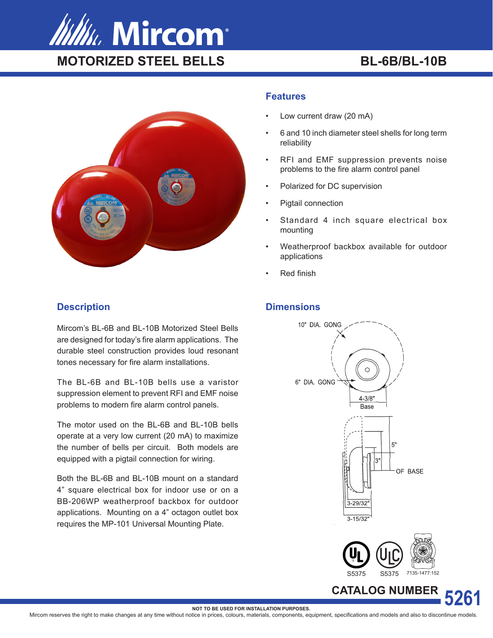



# **Description**

Mircom's BL-6B and BL-10B Motorized Steel Bells are designed for today's fire alarm applications. The durable steel construction provides loud resonant tones necessary for fire alarm installations.

The BL-6B and BL-10B bells use a varistor suppression element to prevent RFI and EMF noise problems to modern fire alarm control panels.

The motor used on the BL-6B and BL-10B bells operate at a very low current (20 mA) to maximize the number of bells per circuit. Both models are equipped with a pigtail connection for wiring.

Both the BL-6B and BL-10B mount on a standard 4" square electrical box for indoor use or on a BB-206WP weatherproof backbox for outdoor applications. Mounting on a 4" octagon outlet box requires the MP-101 Universal Mounting Plate.

## **Features**

- Low current draw (20 mA)
- 6 and 10 inch diameter steel shells for long term reliability
- RFI and EMF suppression prevents noise problems to the fire alarm control panel
- Polarized for DC supervision
- Pigtail connection
- Standard 4 inch square electrical box mounting
- Weatherproof backbox available for outdoor applications
- Red finish

# **Dimensions**





**CATALOG NUMBER**

**5261**

**NOT TO BE USED FOR INSTALLATION PURPOSES.**